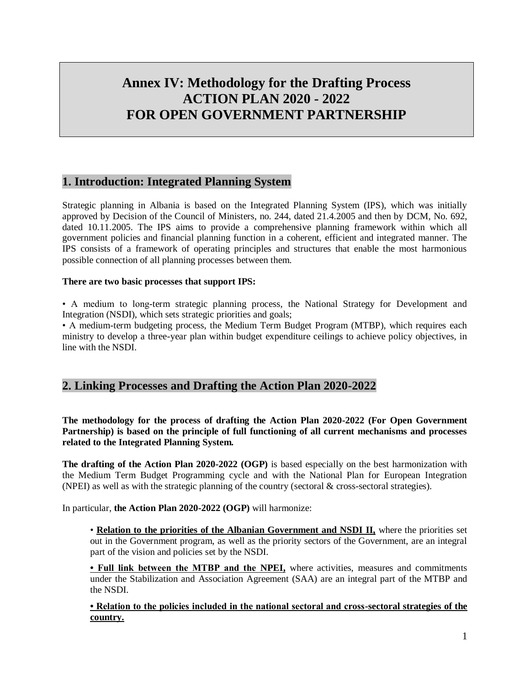# **Annex IV: Methodology for the Drafting Process ACTION PLAN 2020 - 2022 FOR OPEN GOVERNMENT PARTNERSHIP**

# **1. Introduction: Integrated Planning System**

Strategic planning in Albania is based on the Integrated Planning System (IPS), which was initially approved by Decision of the Council of Ministers, no. 244, dated 21.4.2005 and then by DCM, No. 692, dated 10.11.2005. The IPS aims to provide a comprehensive planning framework within which all government policies and financial planning function in a coherent, efficient and integrated manner. The IPS consists of a framework of operating principles and structures that enable the most harmonious possible connection of all planning processes between them.

#### **There are two basic processes that support IPS:**

• A medium to long-term strategic planning process, the National Strategy for Development and Integration (NSDI), which sets strategic priorities and goals;

• A medium-term budgeting process, the Medium Term Budget Program (MTBP), which requires each ministry to develop a three-year plan within budget expenditure ceilings to achieve policy objectives, in line with the NSDI.

# **2. Linking Processes and Drafting the Action Plan 2020-2022**

**The methodology for the process of drafting the Action Plan 2020-2022 (For Open Government Partnership) is based on the principle of full functioning of all current mechanisms and processes related to the Integrated Planning System.**

**The drafting of the Action Plan 2020-2022 (OGP)** is based especially on the best harmonization with the Medium Term Budget Programming cycle and with the National Plan for European Integration (NPEI) as well as with the strategic planning of the country (sectoral & cross-sectoral strategies).

In particular, **the Action Plan 2020-2022 (OGP)** will harmonize:

• **Relation to the priorities of the Albanian Government and NSDI II,** where the priorities set out in the Government program, as well as the priority sectors of the Government, are an integral part of the vision and policies set by the NSDI.

**• Full link between the MTBP and the NPEI,** where activities, measures and commitments under the Stabilization and Association Agreement (SAA) are an integral part of the MTBP and the NSDI.

**• Relation to the policies included in the national sectoral and cross-sectoral strategies of the country.**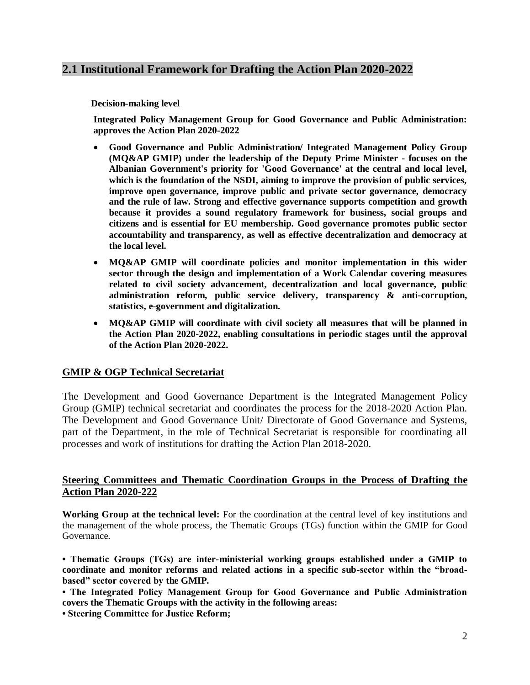# **2.1 Institutional Framework for Drafting the Action Plan 2020-2022**

 **Decision-making level**

**Integrated Policy Management Group for Good Governance and Public Administration: approves the Action Plan 2020-2022**

- **Good Governance and Public Administration/ Integrated Management Policy Group (MQ&AP GMIP) under the leadership of the Deputy Prime Minister - focuses on the Albanian Government's priority for 'Good Governance' at the central and local level, which is the foundation of the NSDI, aiming to improve the provision of public services, improve open governance, improve public and private sector governance, democracy and the rule of law. Strong and effective governance supports competition and growth because it provides a sound regulatory framework for business, social groups and citizens and is essential for EU membership. Good governance promotes public sector accountability and transparency, as well as effective decentralization and democracy at the local level.**
- **MQ&AP GMIP will coordinate policies and monitor implementation in this wider sector through the design and implementation of a Work Calendar covering measures related to civil society advancement, decentralization and local governance, public administration reform, public service delivery, transparency & anti-corruption, statistics, e-government and digitalization.**
- **MQ&AP GMIP will coordinate with civil society all measures that will be planned in the Action Plan 2020-2022, enabling consultations in periodic stages until the approval of the Action Plan 2020-2022.**

### **GMIP & OGP Technical Secretariat**

The Development and Good Governance Department is the Integrated Management Policy Group (GMIP) technical secretariat and coordinates the process for the 2018-2020 Action Plan. The Development and Good Governance Unit/ Directorate of Good Governance and Systems, part of the Department, in the role of Technical Secretariat is responsible for coordinating all processes and work of institutions for drafting the Action Plan 2018-2020.

## **Steering Committees and Thematic Coordination Groups in the Process of Drafting the Action Plan 2020-222**

**Working Group at the technical level:** For the coordination at the central level of key institutions and the management of the whole process, the Thematic Groups (TGs) function within the GMIP for Good Governance.

**• Thematic Groups (TGs) are inter-ministerial working groups established under a GMIP to coordinate and monitor reforms and related actions in a specific sub-sector within the "broadbased" sector covered by the GMIP.**

**• The Integrated Policy Management Group for Good Governance and Public Administration covers the Thematic Groups with the activity in the following areas:**

**• Steering Committee for Justice Reform;**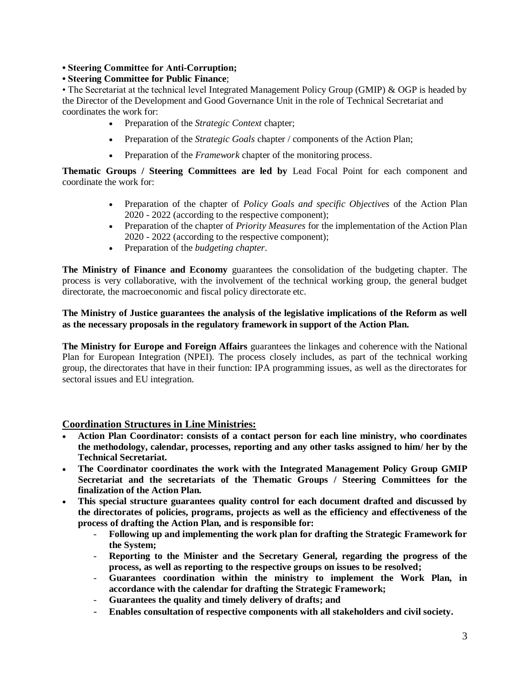**• Steering Committee for Anti-Corruption;**

#### **• Steering Committee for Public Finance**;

• The Secretariat at the technical level Integrated Management Policy Group (GMIP) & OGP is headed by the Director of the Development and Good Governance Unit in the role of Technical Secretariat and coordinates the work for:

- Preparation of the *Strategic Context* chapter;
- Preparation of the *Strategic Goals* chapter / components of the Action Plan;
- Preparation of the *Framework* chapter of the monitoring process.

**Thematic Groups / Steering Committees are led by** Lead Focal Point for each component and coordinate the work for:

- Preparation of the chapter of *Policy Goals and specific Objectives* of the Action Plan 2020 - 2022 (according to the respective component);
- Preparation of the chapter of *Priority Measures* for the implementation of the Action Plan 2020 - 2022 (according to the respective component);
- Preparation of the *budgeting chapter*.

**The Ministry of Finance and Economy** guarantees the consolidation of the budgeting chapter. The process is very collaborative, with the involvement of the technical working group, the general budget directorate, the macroeconomic and fiscal policy directorate etc.

#### **The Ministry of Justice guarantees the analysis of the legislative implications of the Reform as well as the necessary proposals in the regulatory framework in support of the Action Plan.**

**The Ministry for Europe and Foreign Affairs** guarantees the linkages and coherence with the National Plan for European Integration (NPEI). The process closely includes, as part of the technical working group, the directorates that have in their function: IPA programming issues, as well as the directorates for sectoral issues and EU integration.

### **Coordination Structures in Line Ministries:**

- **Action Plan Coordinator: consists of a contact person for each line ministry, who coordinates the methodology, calendar, processes, reporting and any other tasks assigned to him/ her by the Technical Secretariat.**
- **The Coordinator coordinates the work with the Integrated Management Policy Group GMIP Secretariat and the secretariats of the Thematic Groups / Steering Committees for the finalization of the Action Plan.**
- **This special structure guarantees quality control for each document drafted and discussed by the directorates of policies, programs, projects as well as the efficiency and effectiveness of the process of drafting the Action Plan, and is responsible for:**
	- **Following up and implementing the work plan for drafting the Strategic Framework for the System;**
	- **Reporting to the Minister and the Secretary General, regarding the progress of the process, as well as reporting to the respective groups on issues to be resolved;**
	- **Guarantees coordination within the ministry to implement the Work Plan, in accordance with the calendar for drafting the Strategic Framework;**
	- **Guarantees the quality and timely delivery of drafts; and**
	- **Enables consultation of respective components with all stakeholders and civil society.**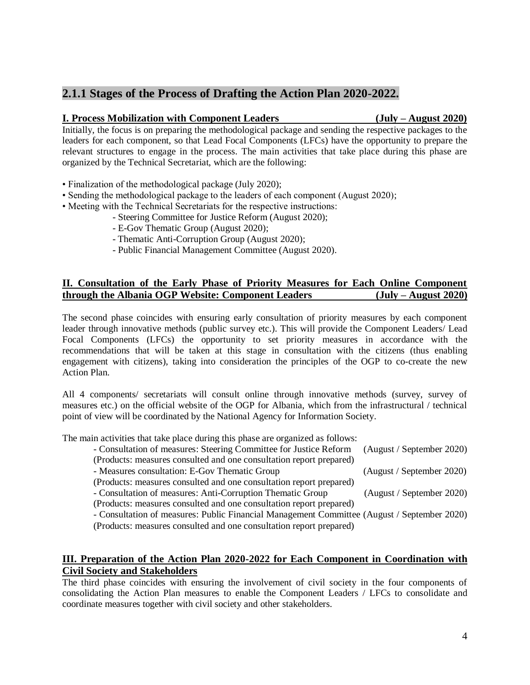# **2.1.1 Stages of the Process of Drafting the Action Plan 2020-2022.**

#### **I. Process Mobilization with Component Leaders (July – August 2020)**

Initially, the focus is on preparing the methodological package and sending the respective packages to the leaders for each component, so that Lead Focal Components (LFCs) have the opportunity to prepare the relevant structures to engage in the process. The main activities that take place during this phase are organized by the Technical Secretariat, which are the following:

- Finalization of the methodological package (July 2020);
- Sending the methodological package to the leaders of each component (August 2020);
- Meeting with the Technical Secretariats for the respective instructions:
	- Steering Committee for Justice Reform (August 2020);
	- E-Gov Thematic Group (August 2020);
	- Thematic Anti-Corruption Group (August 2020);
	- Public Financial Management Committee (August 2020).

# **II. Consultation of the Early Phase of Priority Measures for Each Online Component through the Albania OGP Website: Component Leaders (July – August 2020)**

The second phase coincides with ensuring early consultation of priority measures by each component leader through innovative methods (public survey etc.). This will provide the Component Leaders/ Lead Focal Components (LFCs) the opportunity to set priority measures in accordance with the recommendations that will be taken at this stage in consultation with the citizens (thus enabling engagement with citizens), taking into consideration the principles of the OGP to co-create the new Action Plan.

All 4 components/ secretariats will consult online through innovative methods (survey, survey of measures etc.) on the official website of the OGP for Albania, which from the infrastructural / technical point of view will be coordinated by the National Agency for Information Society.

The main activities that take place during this phase are organized as follows:

| - Consultation of measures: Steering Committee for Justice Reform                           | (August / September 2020) |
|---------------------------------------------------------------------------------------------|---------------------------|
| (Products: measures consulted and one consultation report prepared)                         |                           |
| - Measures consultation: E-Gov Thematic Group                                               | (August / September 2020) |
| (Products: measures consulted and one consultation report prepared)                         |                           |
| - Consultation of measures: Anti-Corruption Thematic Group                                  | (August / September 2020) |
| (Products: measures consulted and one consultation report prepared)                         |                           |
| - Consultation of measures: Public Financial Management Committee (August / September 2020) |                           |

(Products: measures consulted and one consultation report prepared)

## **III. Preparation of the Action Plan 2020-2022 for Each Component in Coordination with Civil Society and Stakeholders**

The third phase coincides with ensuring the involvement of civil society in the four components of consolidating the Action Plan measures to enable the Component Leaders / LFCs to consolidate and coordinate measures together with civil society and other stakeholders.